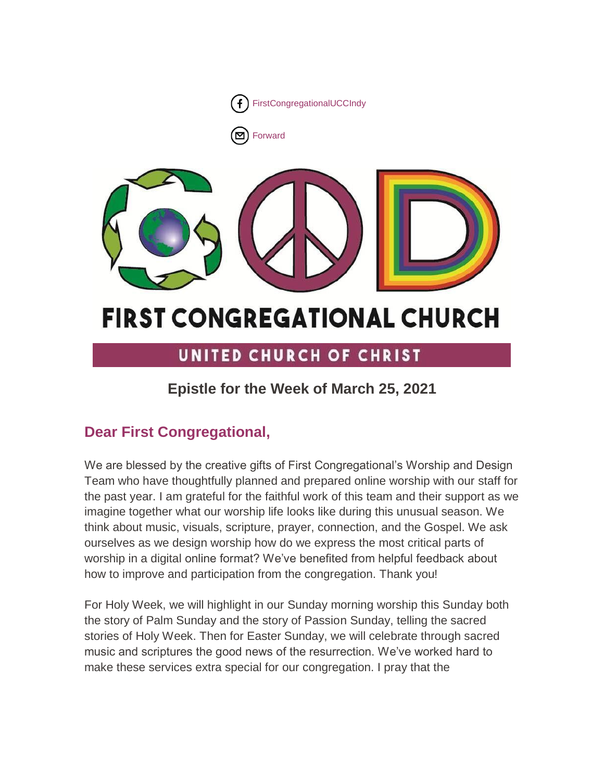



# **FIRST CONGREGATIONAL CHURCH**

# UNITED CHURCH OF CHRIST

# **Epistle for the Week of March 25, 2021**

# **Dear First Congregational,**

We are blessed by the creative gifts of First Congregational's Worship and Design Team who have thoughtfully planned and prepared online worship with our staff for the past year. I am grateful for the faithful work of this team and their support as we imagine together what our worship life looks like during this unusual season. We think about music, visuals, scripture, prayer, connection, and the Gospel. We ask ourselves as we design worship how do we express the most critical parts of worship in a digital online format? We've benefited from helpful feedback about how to improve and participation from the congregation. Thank you!

For Holy Week, we will highlight in our Sunday morning worship this Sunday both the story of Palm Sunday and the story of Passion Sunday, telling the sacred stories of Holy Week. Then for Easter Sunday, we will celebrate through sacred music and scriptures the good news of the resurrection. We've worked hard to make these services extra special for our congregation. I pray that the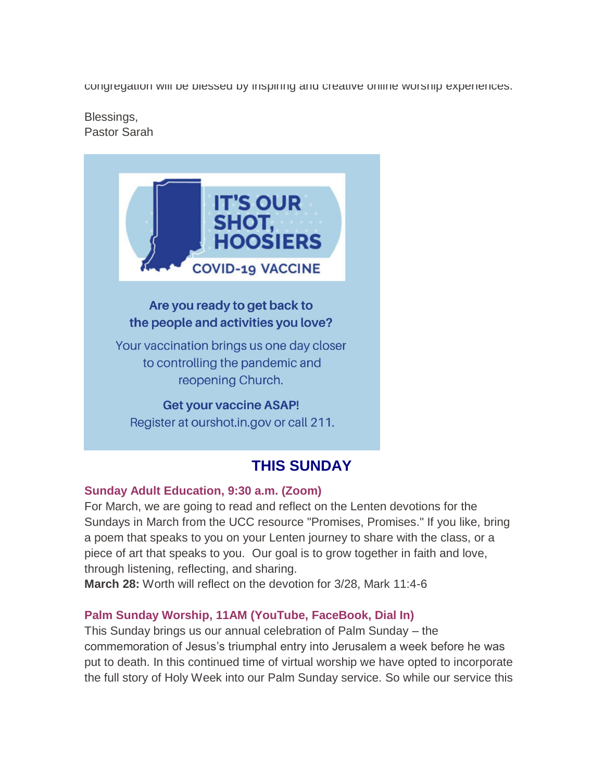congregation will be blessed by inspiring and creative online worship experiences.

Blessings, Pastor Sarah



Are you ready to get back to the people and activities you love?

Your vaccination brings us one day closer to controlling the pandemic and reopening Church.

#### **Get your vaccine ASAP!**

Register at ourshot.in.gov or call 211.

# **THIS SUNDAY**

#### **Sunday Adult Education, 9:30 a.m. (Zoom)**

For March, we are going to read and reflect on the Lenten devotions for the Sundays in March from the UCC resource "Promises, Promises." If you like, bring a poem that speaks to you on your Lenten journey to share with the class, or a piece of art that speaks to you. Our goal is to grow together in faith and love, through listening, reflecting, and sharing.

**March 28:** Worth will reflect on the devotion for 3/28, Mark 11:4-6

#### **Palm Sunday Worship, 11AM (YouTube, FaceBook, Dial In)**

This Sunday brings us our annual celebration of Palm Sunday – the commemoration of Jesus's triumphal entry into Jerusalem a week before he was put to death. In this continued time of virtual worship we have opted to incorporate the full story of Holy Week into our Palm Sunday service. So while our service this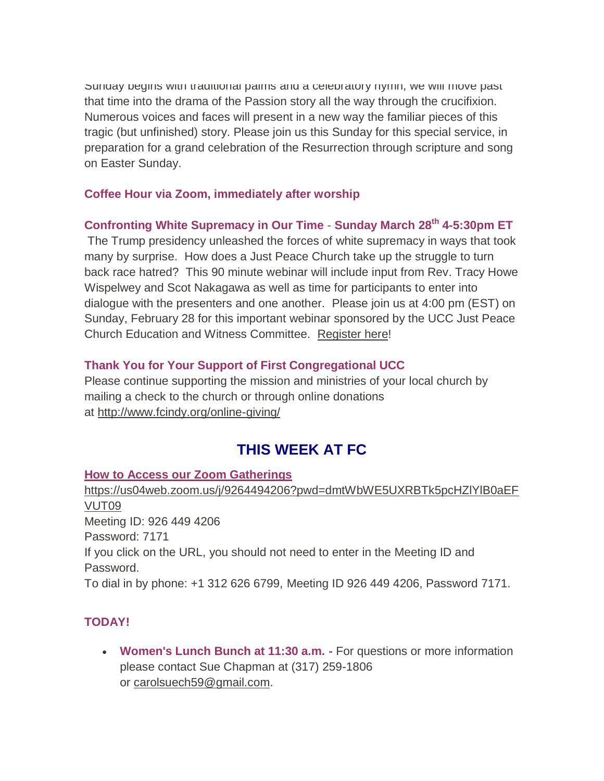Sunday begins with traditional palms and a celebratory hymn, we will move past that time into the drama of the Passion story all the way through the crucifixion. Numerous voices and faces will present in a new way the familiar pieces of this tragic (but unfinished) story. Please join us this Sunday for this special service, in preparation for a grand celebration of the Resurrection through scripture and song on Easter Sunday.

#### **Coffee Hour via Zoom, immediately after worship**

#### **Confronting White Supremacy in Our Time** - **Sunday March 28th 4-5:30pm ET**

The Trump presidency unleashed the forces of white supremacy in ways that took many by surprise. How does a Just Peace Church take up the struggle to turn back race hatred? This 90 minute webinar will include input from Rev. Tracy Howe Wispelwey and Scot Nakagawa as well as time for participants to enter into dialogue with the presenters and one another. Please join us at 4:00 pm (EST) on Sunday, February 28 for this important webinar sponsored by the UCC Just Peace Church Education and Witness Committee. [Register here!](https://ucc.zoom.us/meeting/register/tJAlcu-srz8jH9E-FL4X7aHCzckDcQeKTUfD)

#### **Thank You for Your Support of First Congregational UCC**

Please continue supporting the mission and ministries of your local church by mailing a check to the church or through online donations at <http://www.fcindy.org/online-giving/>

# **THIS WEEK AT FC**

#### **How to Access our Zoom Gatherings**

[https://us04web.zoom.us/j/9264494206?pwd=dmtWbWE5UXRBTk5pcHZlYlB0aEF](https://us04web.zoom.us/j/9264494206?pwd=dmtWbWE5UXRBTk5pcHZlYlB0aEFVUT09) [VUT09](https://us04web.zoom.us/j/9264494206?pwd=dmtWbWE5UXRBTk5pcHZlYlB0aEFVUT09) Meeting ID: 926 449 4206 Password: 7171 If you click on the URL, you should not need to enter in the Meeting ID and Password. To dial in by phone: +1 312 626 6799, Meeting ID 926 449 4206, Password 7171.

#### **TODAY!**

 **Women's Lunch Bunch at 11:30 a.m. -** For questions or more information please contact Sue Chapman at (317) 259-1806 or [carolsuech59@gmail.com.](mailto:carolsuech59@gmail.com)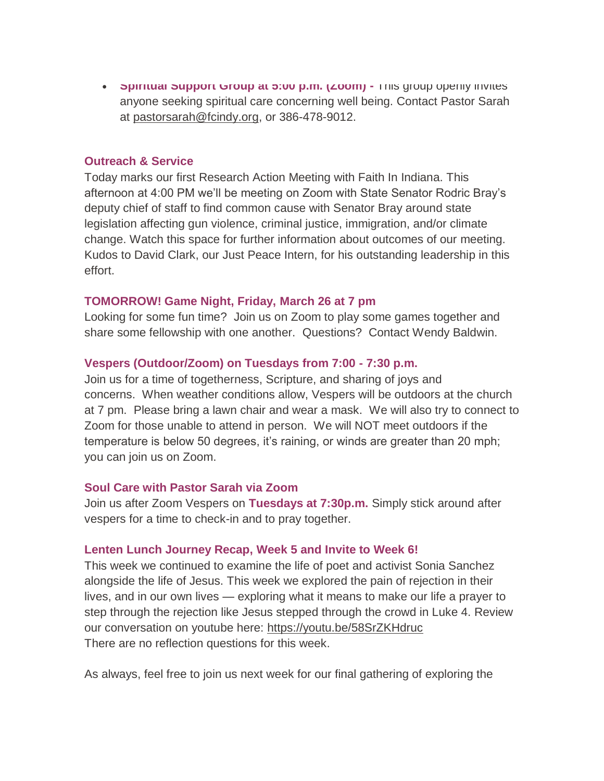**Spiritual Support Group at 5:00 p.m. (Zoom) -** This group openly invites anyone seeking spiritual care concerning well being. Contact Pastor Sarah at [pastorsarah@fcindy.org,](mailto:pastorsarah@fcindy.org) or 386-478-9012.

#### **Outreach & Service**

Today marks our first Research Action Meeting with Faith In Indiana. This afternoon at 4:00 PM we'll be meeting on Zoom with State Senator Rodric Bray's deputy chief of staff to find common cause with Senator Bray around state legislation affecting gun violence, criminal justice, immigration, and/or climate change. Watch this space for further information about outcomes of our meeting. Kudos to David Clark, our Just Peace Intern, for his outstanding leadership in this effort.

#### **TOMORROW! Game Night, Friday, March 26 at 7 pm**

Looking for some fun time? Join us on Zoom to play some games together and share some fellowship with one another. Questions? Contact Wendy Baldwin.

#### **Vespers (Outdoor/Zoom) on Tuesdays from 7:00 - 7:30 p.m.**

Join us for a time of togetherness, Scripture, and sharing of joys and concerns. When weather conditions allow, Vespers will be outdoors at the church at 7 pm. Please bring a lawn chair and wear a mask. We will also try to connect to Zoom for those unable to attend in person. We will NOT meet outdoors if the temperature is below 50 degrees, it's raining, or winds are greater than 20 mph; you can join us on Zoom.

#### **Soul Care with Pastor Sarah via Zoom**

Join us after Zoom Vespers on **Tuesdays at 7:30p.m.** Simply stick around after vespers for a time to check-in and to pray together.

#### **Lenten Lunch Journey Recap, Week 5 and Invite to Week 6!**

This week we continued to examine the life of poet and activist Sonia Sanchez alongside the life of Jesus. This week we explored the pain of rejection in their lives, and in our own lives — exploring what it means to make our life a prayer to step through the rejection like Jesus stepped through the crowd in Luke 4. Review our conversation on youtube here: <https://youtu.be/58SrZKHdruc> There are no reflection questions for this week.

As always, feel free to join us next week for our final gathering of exploring the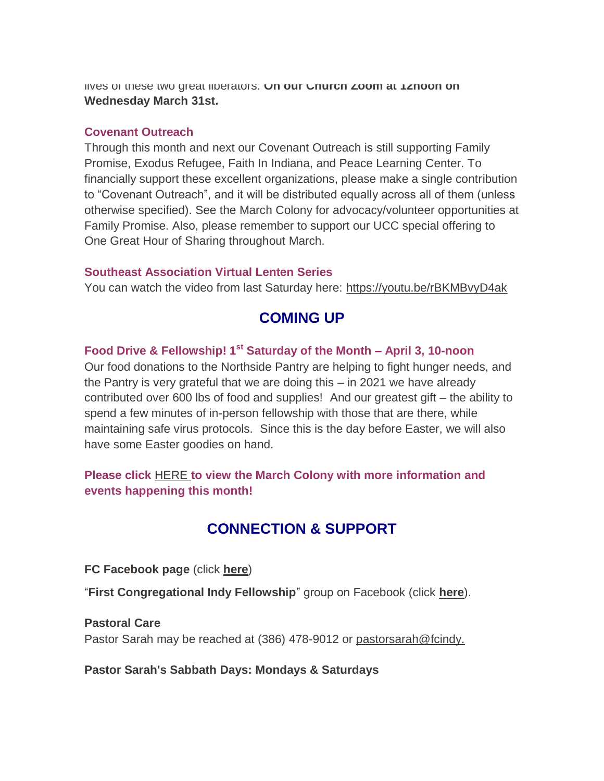lives of these two great liberators: **On our Church Zoom at 12noon on Wednesday March 31st.**

#### **Covenant Outreach**

Through this month and next our Covenant Outreach is still supporting Family Promise, Exodus Refugee, Faith In Indiana, and Peace Learning Center. To financially support these excellent organizations, please make a single contribution to "Covenant Outreach", and it will be distributed equally across all of them (unless otherwise specified). See the March Colony for advocacy/volunteer opportunities at Family Promise. Also, please remember to support our UCC special offering to One Great Hour of Sharing throughout March.

#### **Southeast Association Virtual Lenten Series**

You can watch the video from last Saturday here: <https://youtu.be/rBKMBvyD4ak>

# **COMING UP**

#### **Food Drive & Fellowship! 1st Saturday of the Month – April 3, 10-noon**

Our food donations to the Northside Pantry are helping to fight hunger needs, and the Pantry is very grateful that we are doing this – in 2021 we have already contributed over 600 lbs of food and supplies! And our greatest gift – the ability to spend a few minutes of in-person fellowship with those that are there, while maintaining safe virus protocols. Since this is the day before Easter, we will also have some Easter goodies on hand.

#### **Please click** [HERE](https://mcusercontent.com/7a2e4c501545b6d78729a64a1/files/c6bc7fc6-7671-4bb5-9e27-00d25bc95abe/March_Colony_2021.01.pdf) **[t](https://mcusercontent.com/7a2e4c501545b6d78729a64a1/files/c6bc7fc6-7671-4bb5-9e27-00d25bc95abe/March_Colony_2021.01.pdf)o view the March Colony with more information and events happening this month!**

# **CONNECTION & SUPPORT**

**FC Facebook page** (click **[here](https://www.facebook.com/FirstCongregationalUCCIndy/)**)

"**First Congregational Indy Fellowship**" group on Facebook (click **[here](https://www.facebook.com/groups/521333455186422/)**).

**Pastoral Care** Pastor Sarah may be reached at (386) 478-9012 or [pastorsarah@fcindy.](mailto:pastorsarah@fcindy.org)

#### **Pastor Sarah's Sabbath Days: Mondays & Saturdays**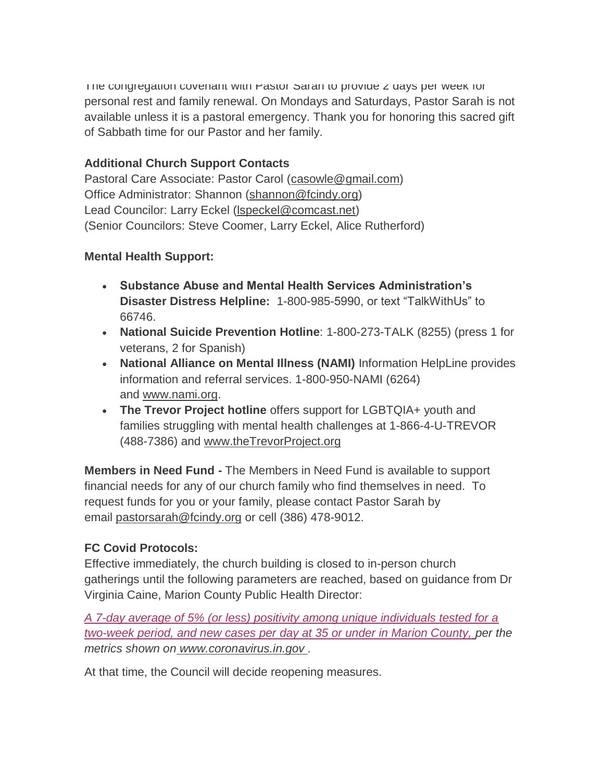The congregation covenant with Pastor Sarah to provide  $\angle$  days per week for personal rest and family renewal. On Mondays and Saturdays, Pastor Sarah is not available unless it is a pastoral emergency. Thank you for honoring this sacred gift of Sabbath time for our Pastor and her family.

#### **Additional Church Support Contacts**

Pastoral Care Associate: Pastor Carol [\(casowle@gmail.com\)](mailto:casowle@gmail.com) Office Administrator: Shannon [\(shannon@fcindy.org\)](mailto:shannon@fcindy.org) Lead Councilor: Larry Eckel [\(lspeckel@comcast.net\)](mailto:lspeckel@comcast.net) (Senior Councilors: Steve Coomer, Larry Eckel, Alice Rutherford)

#### **Mental Health Support:**

- **Substance Abuse and Mental Health Services Administration's Disaster Distress Helpline:** 1-800-985-5990, or text "TalkWithUs" to 66746.
- **National Suicide Prevention Hotline**: 1-800-273-TALK (8255) (press 1 for veterans, 2 for Spanish)
- **National Alliance on Mental Illness (NAMI)** Information HelpLine provides information and referral services. 1-800-950-NAMI (6264) and [www.nami.org.](http://www.nami.org/)
- **The Trevor Project hotline** offers support for LGBTQIA+ youth and families struggling with mental health challenges at 1-866-4-U-TREVOR (488-7386) and [www.theTrevorProject.org](http://www.thetrevorproject.org/)

**Members in Need Fund -** The Members in Need Fund is available to support financial needs for any of our church family who find themselves in need. To request funds for you or your family, please contact Pastor Sarah by email [pastorsarah@fcindy.org](mailto:pastorsarah@fcindy.org) or cell (386) 478-9012.

#### **FC Covid Protocols:**

Effective immediately, the church building is closed to in-person church gatherings until the following parameters are reached, based on guidance from Dr Virginia Caine, Marion County Public Health Director:

*A 7-day average of 5% (or less) positivity among unique individuals tested for a two-week period, and new cases per day at 35 or under in Marion County, per the metrics shown on [www.coronavirus.in.gov](http://www.coronavirus.in.gov/) .* 

At that time, the Council will decide reopening measures.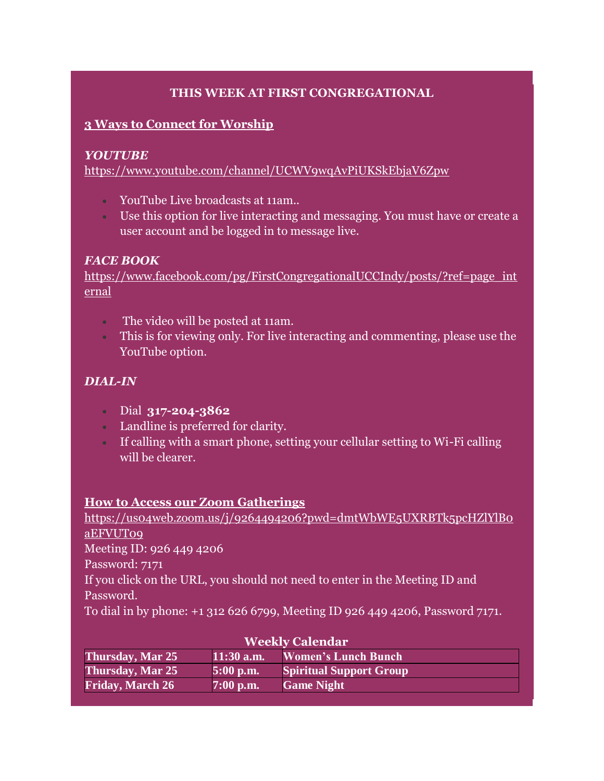#### **THIS WEEK AT FIRST CONGREGATIONAL**

#### **3 Ways to Connect for Worship**

#### *YOUTUBE*

<https://www.youtube.com/channel/UCWV9wqAvPiUKSkEbjaV6Zpw>

- YouTube Live broadcasts at 11am..
- Use this option for live interacting and messaging. You must have or create a user account and be logged in to message live.

#### *FACE BOOK*

[https://www.facebook.com/pg/FirstCongregationalUCCIndy/posts/?ref=page\\_int](https://www.facebook.com/pg/FirstCongregationalUCCIndy/posts/?ref=page_internal) [ernal](https://www.facebook.com/pg/FirstCongregationalUCCIndy/posts/?ref=page_internal)

- The video will be posted at 11am.
- This is for viewing only. For live interacting and commenting, please use the YouTube option.

#### *DIAL-IN*

- Dial **317-204-3862**
- Landline is preferred for clarity.
- If calling with a smart phone, setting your cellular setting to Wi-Fi calling will be clearer.

#### **How to Access our Zoom Gatherings**

[https://us04web.zoom.us/j/9264494206?pwd=dmtWbWE5UXRBTk5pcHZlYlB0](https://us04web.zoom.us/j/9264494206?pwd=dmtWbWE5UXRBTk5pcHZlYlB0aEFVUT09) [aEFVUT09](https://us04web.zoom.us/j/9264494206?pwd=dmtWbWE5UXRBTk5pcHZlYlB0aEFVUT09) Meeting ID: 926 449 4206

Password: 7171

If you click on the URL, you should not need to enter in the Meeting ID and Password.

To dial in by phone: +1 312 626 6799, Meeting ID 926 449 4206, Password 7171.

| <b>Weekly Calendar</b>  |              |                                |  |
|-------------------------|--------------|--------------------------------|--|
| <b>Thursday, Mar 25</b> | $11:30$ a.m. | <b>Women's Lunch Bunch</b>     |  |
| <b>Thursday, Mar 25</b> | $5:00$ p.m.  | <b>Spiritual Support Group</b> |  |
| <b>Friday, March 26</b> | $7:00$ p.m.  | <b>Game Night</b>              |  |